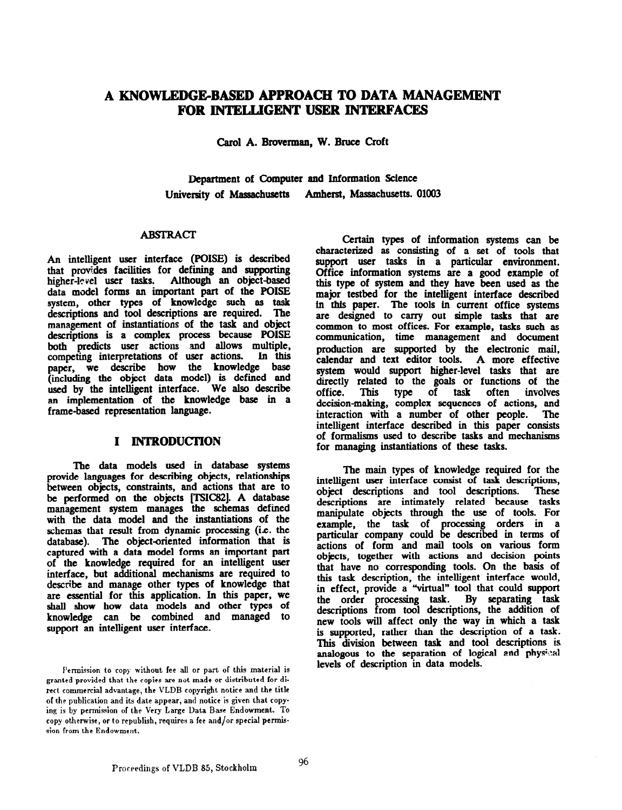# A KNOWLEDGE-BASED APPROACH TO DATA MANAGEMENT FOR INTELLIGENT USER INTERFACES

Carol A. Broverman, W. Bruce Croft

Department of Computer and Information Science University of Massachusetts Amherst, Massachusetts. 01003

### **ABSTRACT**

An intelligent user interface (POISE) is described that provides facilities for defining and supporting higher-level user tasks. Although an object-based data model forms an important part of the POISE system, other types of knowledge such as task descriptions and tool descriptions are required. The management of instantiations of the task and object descriptions is a complex process because POISE both predicts user actions and allows multiple, competing interpretations of user actions. In this paper, we describe how the knowledge base<br>Contribution the chief data model) is defined and  $(including the object data model)$  is defined used by the intelligent interface. an implementation of the knowledge base in a frame-based representation language.

## I INTRODUCTION

The data models used in database systems provide languages for describing objects, relationships between objects, constraints, and actions that are to be performed on the objects [TsIc82]. A database management system manages the schemas defied with the data model and the instantiations of the schemas that result from dynamic processing (i.e. the database). The object-oriented information that is captured with a data model forms an important part of the knowledge required for an intelligent user interface, but additional mechanisms are required to describe and manage other types of knowledge that are essential for this application. In this paper, we shall show how data models and other types of knowledge can be combined and managed to support an intelligent user interface.

Certain types of information systems can be characterized as consisting of a set of tools that support user tasks in a particular environment. Office information systems are a good example of this type of system and they have been used as the major testbed for the intelligent interface described in this paper. The tools in current office systems are designed to carry out simple tasks that are common to most offices. For example, tasks such as communication, time management and document production are supported by the electronic mail, calendar and text editor tools. A more effective system would support higher-level tasks that are directly related to the goals or functions of the office. This type of task often involves type of task decision-making, complex sequences of actions, and interaction with a number of other people. The intelligent interface described in this paper consists of formalisms used to describe tasks and mechanisms for managing instantiations of these tasks.

The main types of knowledge required for the intelligent user interface consist of task descriptions, object descriptions and tool descriptions. descriptions are intimately related because tasks manipulate objects through the use of tools. For example, the task of processing orders in a particular company could be described in terms of actions of form and mail tools on various form objects, together with actions and decision points that have no corresponding tools. On the basis of this task description, the intelligent interface would, in effect, provide a "virtual" tool that could support the order processing task. By separating task descriptions from tool descriptions, the addition of new tools will affect only the way in which a task is supported, rather than the description of a task. This division between task and tool descriptions is analogous to the separation of logical and physical levels of description in data models.

Permission to copy without fee all or part of this material is granted provided that the copies are not made or distributed for direct commercial advantage, the VLDB copyright notice and the title of the publication and its date appear, and notice is given that copying is by permission of the Very Large Data Base Endowment. To copy otherwise, or to republish, requires a fee and/or special permission from the Endowment.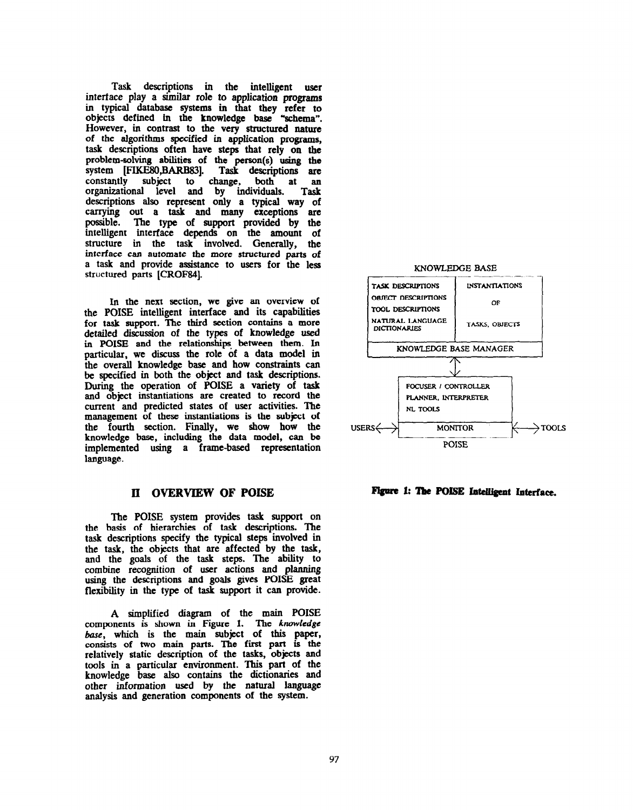Task descriptions in the intelligent user interface play a similar role to application programs in typical database systems in that they refer to objects defined in the knowledge base "schema". However, in contrast to the very structured nature of the algorithms specified in application programs, task descriptions often have steps that rely on the problem-solving abilities of the person(s) using the system [FIKE80, BARB83]. Task descriptions are constantly subject to change, organizational level and by individuals. Tas descriptions also represent only a typical way of carrying out a task and many exceptions are possible. The type of support provided by the intelligent interface depends on the amount of structure in the task involved. Generally, the interface can automate the more structured parts of a task and provide assistance to users for the less structured parts [CROF84].

In the next section, we give an overview of the POISE intelligent interface and its capabilities for task support. The third section contains a more detailed discussion of the types of knowledge used in POISE and the relationships between them. In particular, we discuss the role of a data model in the overall knowledge base and how constraints can be specified in both the object and task descriptions. During the operation of POISE a variety of task and object instantiations are created to record the current and predicted states of user activities. The management of these instantiations is the subject of the fourth section. Finally, we show how the knowledge base, including the data model, can be implemented using a frame-based representation language.

The POISE system provides task support on the basis of hierarchies of task descriptions. The task descriptions specify the typical steps involved in the task, the objects that are affected by the task, and the goals of the task steps. The ability to combine recognition of user actions and planning using the descriptions and goals gives POISE great flexibility in the type of task support it can provide.

A simplified diagram of the main POISE components is shown in Figure 1. The knowledge base, which is the main subject of this paper, consists of two main parts. The first part is the relatively static description of the tasks, objects and tools in a particular environment. This part of the knowledge base also contains the dictionaries and other information used by the natural language analysis and generation components of the system.



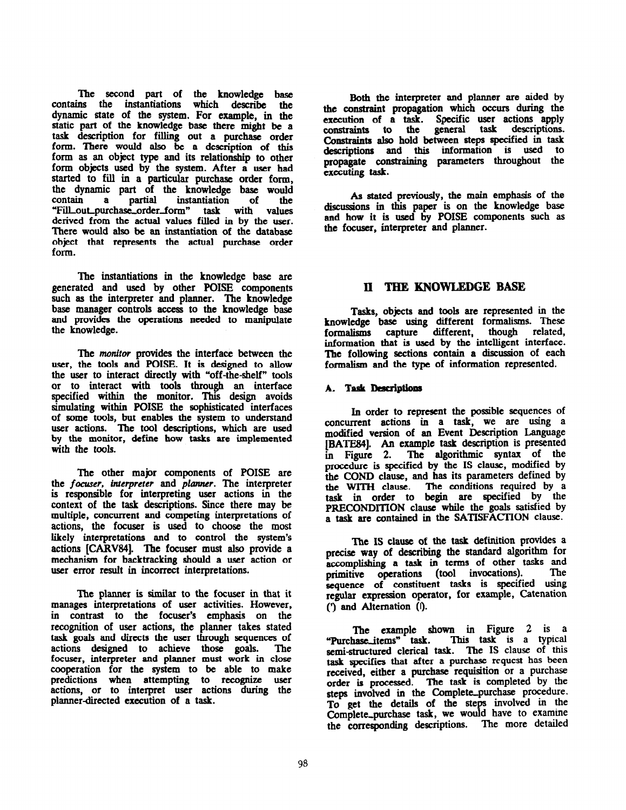The second part of the knowledge base contains the instantiations which describe the dynamic state of the system. For example, in the static part of the knowledge base there might be a task description for filling out a purchase order form. There would also be a description of this form as an object type and its relationship to other form objects used by the system. After a user had started to fill in a particular purchase order form, the dynamic part of the knowledge base would contain a partial instantiation of the "Fill\_out\_purchase\_order\_form" task with values derived from the actual values filled in by the user. There would also be an instantiation of the database object that represents the actual purchase order form.

The instantiations in the knowledge base are generated and used by other POISE components such as the interpreter and planner. The knowledge base manager controls access to the knowledge base and provides the operations needed to manipulate the knowledge.

The monitor provides the interface between the user, the tools and POISE. It is designed to allow the user to interact directly with "off-the-shelf" tools or to interact with tools through an interface specified within the monitor. This design avoids simulating within POISE the sophisticated interfaces of some tools, but enables the system to understand user actions. The tool descriptions, which are used by the monitor, define how tasks are implemented with the tools.

The other major components of POISE are the focuser, interpreter and planner. The interpreter is responsible for interpreting user actions in the context of the task descriptions. Since there may be multiple, concurrent and competing interpretations of actions, the focuser is used to choose the most likely interpretations and to control the system's actions [CARV84]. The focuser must also provide a mechanism for backtracking should a user action or user error result in incorrect interpretations.

The planner is similar to the focuser in that it manages interpretations of user activities. However, in contrast to the focuser's emphasis on the recognition of user actions, the planner takes stated task goals and directs the user through sequences of actions designed to achieve those goals. The focuser, interpreter and planner must work in close cooperation for the system to be able to make predictions when attempting to recognize user actions, or to interpret user actions during the planner-directed execution of a task.

Both the interpreter and planner are aided by the constraint propagation which occurs during the execution of a task. Specific user actions apply constraints to the general task descriptions. Constraints also hold between steps specified in task descriptions and this information is used to propagate constraining parameters throughout the executing task.

As stated previously, the main emphasis of the discussions in this paper is on the knowledge base and how it is used by POISE components such as the focuser, interpreter and planner.

# II THE KNOWLEDGE BASE

Tasks, objects and tools are represented in the knowledge base using different formalisms. These formalisms capture different, though information that is used by the intelligent interface. The following sections contain a discussion of each formalism and the type of information represented.

### A. Task Descriptions

In order to represent the possible sequences of concurrent actions in a task, we are using a modified version of an Event Description Language [BATE84]. An example task description is presented in Figure 2. The algorithmic syntax of the procedure is specified by the IS clause, modified by the COND clause, and has its parameters defined by . The conditions required by a task in order to begin are specified by the PRECONDITION clause while the goals satisfied by a task are contained in the SATISFACITON clause.

The IS clause of the task definition provides a precise way of describing the standard algorithm for accomplishing a task in terms of other tasks and<br>primitive operations (tool invocations). The primitive operations (tool invocations). sequence of constituent tasks is specified using regular expression operator, for example, Catenation (') and Alternation (I).

The example shown in Figure 2 is a<br>"Purchase\_items" task. This task is a typical This task is a typical semi-structured clerical task. The IS clause of this task specifies that after a purchase request has been received, either a purchase requisition or a purchase order is processed. The task is completed by the steps involved in the Complete-purchase procedure. To get the details of the steps involved in the Complete-purchase task, we would have to examine the corresponding descriptions. The more detailed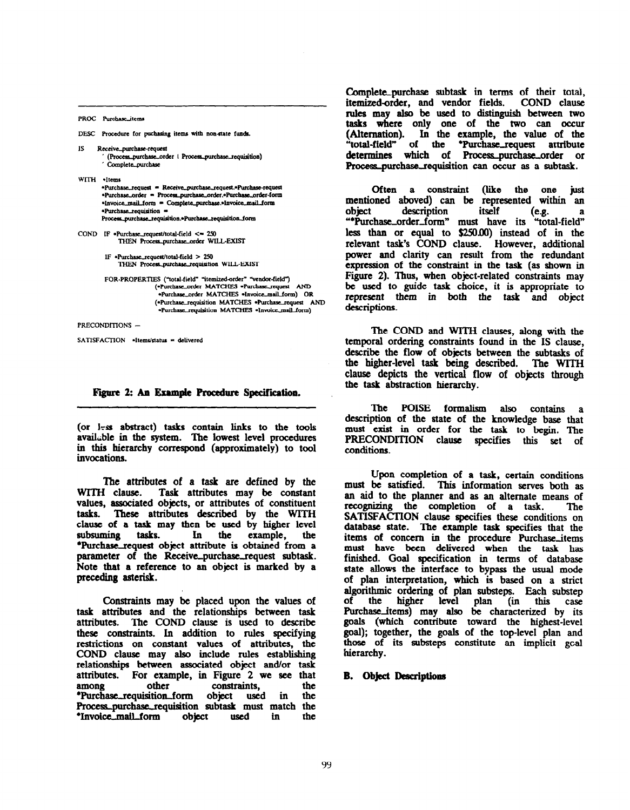PROC Purchase\_items

- DESC Procedure for puchasing items with non-state funds.
- IS Receive\_purchase-request<br>
(Process\_purchase\_order | Process\_purchase\_requisition)
	- Complete\_purchase
- WITH .Items

\*Purchase\_request = Receive\_purchase\_request.\*Purchase-request \*Purchase\_order = Process\_purchase\_order.\*Purchase\_order-form \*Invoice\_mail\_form = Complete\_purchase.\*Invoice\_mail\_form \*Purchase\_requisition \*\* Process\_purchase\_requisition.\*Purchase\_requisition\_form

- COND IF \*Purchase\_request/total-tield <= 250<br>THEN Process\_purchase\_order WILL-EXIS
	- IF  $*Purchase_request/total-field > 250$ THEN Process\_purchase\_requisition WILL-EXIST
	- FOR-PROPERTIES ("total-field" "itemized-order" "vendor-field") (\*Purchase\_order MATCHES \*Purchase\_request AND \*Purchase\_order MATCHES \*Invoice\_mail\_form) OR (\*Purchase\_requisition MATCHES \*Purchase\_request AND \*Purchase\_requisition MATCHES \*Invoice\_mail\_form)

PRECONDITIONS -

 $SATISFACTION$  \*Items/status = delivered

#### Figure 2: An Example Procedure Specification.

 $($ or  $I<sub>z</sub>$ ss abstract $)$  tasks contain links to the tools available in the system. The lowest level procedures in this hierarchy correspond (approximately) to tool invocations.

The attributes of a task are defined by the<br>WITH clause. Task attributes may be constant Task attributes may be constant values, associated objects, or attributes of constituent tasks. These attributes described by the WITH clause of a task may then be used by higher level subsuming tasks. In the example, the \*Purchase-request object attribute is obtained from a parameter of the Receive\_purchase\_request subtask. Note that a reference to an object is marked by a preceding asterisk.

Constraints may be placed upon the values of task attributes and the relationships between task attributes. The COND clause is used to describe these constraints. In addition to rules specifying restrictions on constant values of attributes, the COND clause may also include rules establishing relationships between associated object and/or task attributes. For example, in Figure 2 we see that among other constraints, the among other constraints, the "Purchase\_requisition\_form object used in the Process\_purchase\_requisition subtask must match the<br>
\*Invoice\_mail\_form object used in the \*Invoice\_mail\_form

Complete\_purchase subtask in terms of their total,<br>itemized-order, and vendor fields. COND clause itemized-order, and vendor fields. rules may also be used to distinguish between two tasks where only one of the two can occur (Alternation). In the example, the value of the "total-field" of the "Purchase\_request attribute determines which of Process-purchase-order or Process\_purchase\_requisition can occur as a subtask.

Often a constraint (like the one just mentioned aboved) can be represented within an object description itself (e.g. a description  $(e.g.$  $\mathbf{a}$ "\*Purchase\_order\_form" must have its "total-field" less than or equal to S2SODO) instead of in the relevant task% COND clause. However, additional power and clarity can result from the redundant expression of the constraint in the task (as shown in Figure 2). Thus, when object-related constraints may be used to guide task choice, it is appropriate to represent them in both the task and object descriptions.

The COND and WITH clauses, along with the temporal ordering constraints found in the IS clause, describe the flow of objects between the subtasks of the higher-level task being described. The WITH clause depicts the vertical flow of objects through the task abstraction hierarchy.

Ihe POISE formalism also contains a description of the state of the knowledge base that must exist in order for the task to begin. The PRECONDITION clause specifies this set of conditions.

Upon completion of a task, certain conditions must be satisfied. This information serves both as an aid to the planner and as an alternate means of recognixing the completion of a task. The SATISFACTION clause specifies these conditions on database state. The example task specifies that the items of concern in the procedure Purchase-items must have been delivered when the task has finished. Coal specification in terms of database state allows the interface to bypass the usual mode of plan interpretation, which is based on a strict algorithmic ordering of plan substeps. Each substep higher level plan (in this case Purchase\_items) may also be characterized by its goals (which contribute toward the highest-level goal); together, the goals of the top-level plan and those of its substeps constitute an implicit gcal hierarchy.

#### B. Object Descriptions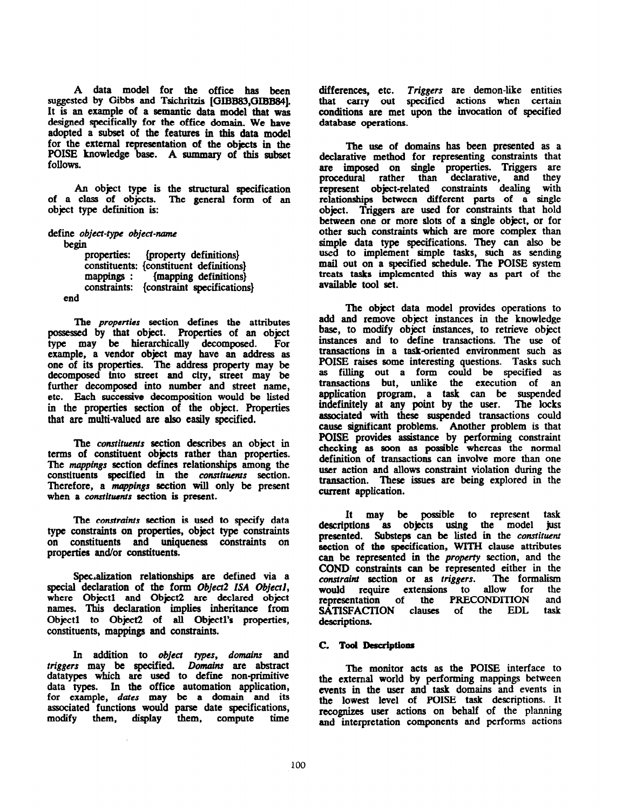A data model for the office has been suggested by Gibbs and Tsichritzis [GIBB83,GIBB84]. It is an example of a semantic data model that was designed specifically for the office domain. We have adopted a subset of the features in this data model for the external representation of the objects in the POISE knowledge base. A summary of this subset follows.

An object type is the structural specification of a class of objects. The general form of an object type definition is:

define object-type object-name

begin

properties: {property definitions} constituents: {constituent definitions}<br>mappings : {mapping definitions} {mapping definitions} constraints: {constraint specifications} end

The *properties* section defines the attributes possessed by that object. Properties of an object type may be hierarchically decomposed. For example, a vendor object may have an address as one of its properties. The address property may be decomposed into street and city, street may be further decomposed into number and street name, etc. Each successive decomposition would be listed in the properties section of the object. Properties that are multi-valued are also easily specified.

The constituents section describes an object in terms of constituent objects rather than properties. The *mappings* section defines relationships among the constituents specified in the *constituents* section. Therefore, a *mappings* section will only be present when a *constituents* section is present.

The constraints section is used to specify data type constraints on properties, object type constraints on constituents and uniqueness constraints on properties and/or constituents.

Spec.alization relationships are defined via a special declaration of the form Object2 ISA Object1, where Object1 and Object2 are declared object names. This declaration implies inheritance from Object1 to Object2 of all ObjectI's properties, constituents, mappings and constraints.

In addition to object types, domains and rriggers may be specified. Domains are abstract datatypes which are used to define non-primitive data types. In the office automation application, for example, dates may be a domain and its associated functions would parse date specifications, modify them, display them, compute time

differences, etc. Triggers are demon-like entities that carry out specified actions when certain conditions are met upon the invocation of specified database operations.

The use of domains has been presented as a declarative method for representing constraints that are imposed on single properties. Triggers are procedural rather than declarative, and they represent object-related constraints dealing with relationships between different parts of a single object. Triggers are used for constraints that hold between one or more slots of a single object, or for other such constraints which are more complex than simple data type specifications. They can also be used to implement simple tasks, such as sending mail out on a specified schedule. The POISE system treats tasks implemented this way as part of the available tool set.

The object data model provides operations to add and remove object instances in the knowledge base, to modify object instances, to retrieve object instances and to define transactions. The use of transactions in a task-oriented environment such as POISE raises some interesting questions. Tasks such as filling out a form could be specified as transactions but, unlike the execution of an application program, a task can be suspended indefinitely at any point by the user. The locks associated with these suspended transactions could cause significant problems. Another problem is that POISE provides assistance by performing constraint checking as soon as possible whereas the normal definition of transactions can involve more than one user action and allows constraint violation during the transaction. These issues are being explored in the current application.

It may be possible to represent task descriptions as objects using the model just presented. Substeps can be listed in the constituent section of the specification, WITH clause attributes can be represented in the property section, and the COND constraints can be represented either in the constraint section or as *triggers*. The formalism  $constraint$  section or as triggers. would require extensions to allow for the representation of the PRECONDITION and<br>SATISFACTION clauses of the EDL task SATISFACTION clauses of descriptions.

### C. Tool Descriptions

The monitor acts as the POISE interface to the external world by performing mappings between events in the user and task domains and events in the lowest level of POISE task descriptions. It recognixes user actions on behalf of the planning and interpretation components and performs actions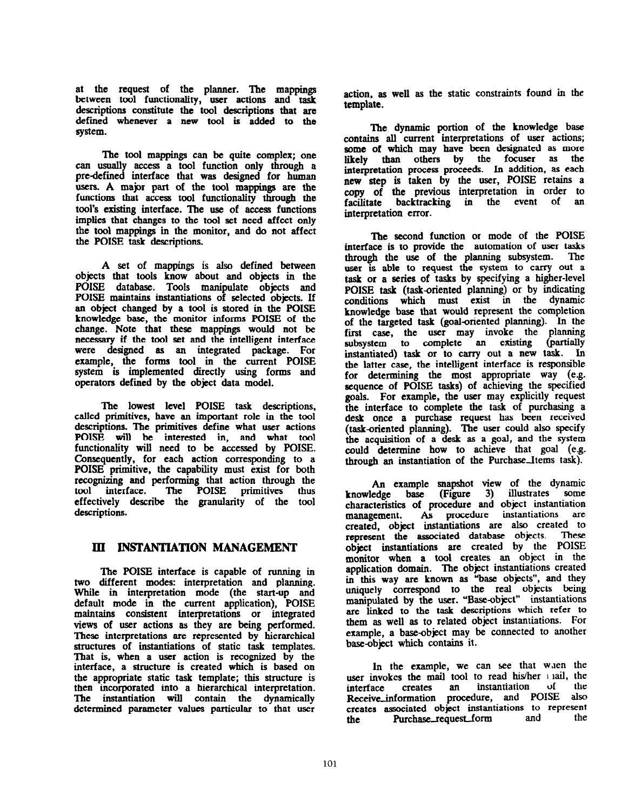at the request of the planner. The mappings between tool functionality, user actions and task descriptions constitute the tool descriptions that are defined whenever a new tool is added to the system.

The tool mappings can be quite complex; one can usually access a tool function only through a pre-defined interface that was designed for human users. A major part of the tool mappings are the functions that access tool functionality through the tool's existing interface. The use of access functions implies that changes to the tool set need affect only the tool mappings in the monitor, and do not affect the POISE task descriptions.

A set of mappings is also defined between objects that tools know about and objects in the POISE database. Tools manipulate objects and POISE maintains instantiations of selected objects. If an object changed by a tool is stored in the POISE knowledge base, the monitor informs POISE of the change. Note that these mappings would not be necessary if the tool set and the intelligent interface were designed as an integrated package. For example, the forms tool in the current POISE system is implemented directly using forms and operators defined by the object data model.

The lowest level POISE task descriptions, called primitives, have an important role in the tool descriptions. The primitives define what user actions POISE will be interested in, and what tool functionality will need to be accessed by POISE. Consequently, for each action corresponding to a POISE primitive, the capability must exist for both recognizing and performing that action through the tool interface. The POISE primitives thus effectively describe the granularity of the tool descriptions.

# III INSTANTIATION MANAGEMENT

The POISE interface is capable of running in two different modes: interpretation and planning. While in interpretation mode (the start-up and default mode in the current application), POISE maintains consistent interpretations or integrated views of user actions aa they are being performed. These interpretations are represented by hierarchical structures of instantiations of static task templates. That is, when a user action is recognized by the interface, a structure is created which is based on the appropriate static task template; this structure is then incorporated into a hierarchical interpretation. The instantiation will contain the dynamically determined parameter values particular to that user

action, as well as the static constraints found in the template.

The dynamic portion of the knowledge base contains all current interpretations of user actions; some of which may have been designated as more likely than others by the focuser as the interpretation process proceeds. In addition, as each new step is taken by the user, POISE retains a copy of the previous interpretation in order to facilitate backtracking in the event of an interpretation error.

The second function or mode of the POISE interface is to provide the automation of user tasks through the use of the planning subsystem. The user is able to request the system to carry out a task or a series of tasks by specifying a higher-level POISE task (task-oriented planning) or by indicating conditions which must exist in the dynamic knowledge base that would represent the completion of the targeted task (goal-oriented planning). In the , the user may invoke the planning subsystem to complete an existing (partially instantiated) task or to carry out a new task. In the latter case, the intelligent interface is responsible for determining the most appropriate way (e.g. sequence of POISE tasks) of achieving the specified goals. For example, the user may explicitly request the interface to complete the task of purchasing a desk once a purchase request has been received (task-oriented planning). The user could also specify the acquisition of a desk as a goal, and the system could determine how to achieve that goal (e.g. through an instantiation of the Purchase\_Items task).

An example snapshot view of the dynamic knowledge base (Figure 3) illustrates some characteristics of procedure and object instantiation management. As procedure instantiations are created, object instantiations are also created to represent the associated database objects. These object instantiations are created by the POISE monitor when a tool creates an object in the application domain. The object instantiations created in this way are known as "base objects", and they uniquely correspond to the real objects being manipulated by the user. "Base-object" instantiations are linked to the task descriptions which refer to them as well as to related object instantiations. For example, a base-object may be connected to another base-object which contains it.

In the example, we can see that waen the user invokes the mail tool to read his/her I ail, the interface creates an instantiation of the interface creates an instantiation of the<br>Receive information procedure, and POISE also Receive\_information procedure, and POISE creates associated object instantiations to represent the Purchase\_request\_form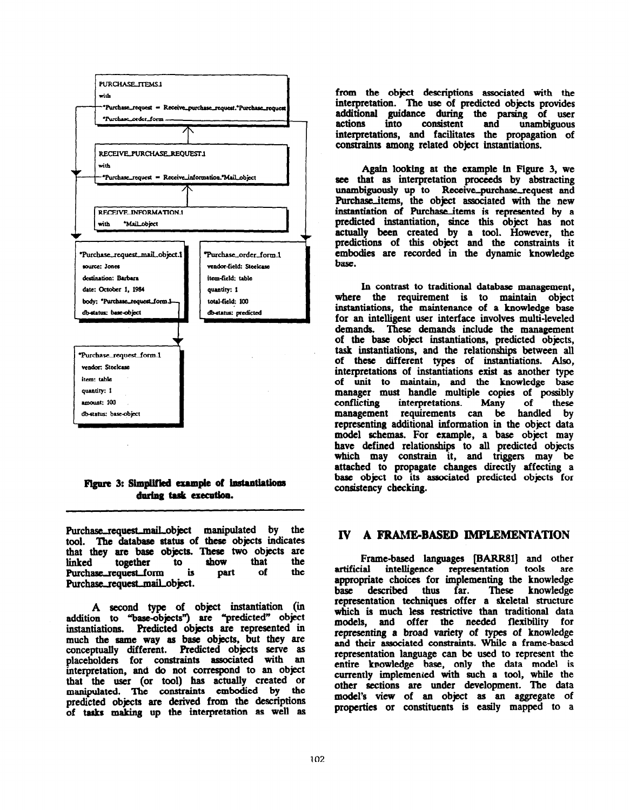

Figure 3: Simplified example of instantiations during task execution.

Purchase-rquesLmaiLobject manipulated by the tool. The database status of these objects indicates that they are base objects. These two objects are linked together to show that the together to show that the<br>equest\_form is part of the Purchase\_request\_form is part of Purchase\_request\_mail\_object.

A second type of object instantiation (in addition to "base-objects") are "predicted" object instantiations. Predicted objects are represented in much the same way as base objects, but they are conceptually different. Predicted objects serve as placeholders for constraints associated with an interpretation, and do not correspond to an object that the user (or tool) has actually created or manipulated. The constraints embodied by the predicted objects are derived from the descriptions of tasks making up the interpretation as well as

from the object descriptions associated with the interpretation. The use of predicted objects provides additional guidance during the parsing of user<br>actions into consistent and unambiguous unambiguous interpretations, and facilitates the propagation of constraints among related object instantiations.

Again looking at the example in Figure 3, we see that as interpretation proceeds by abstracting unambiguously up to Receive\_purchase\_request and Purchase\_items, the object associated with the new instantiation of Purchase-items is represented by a predicted instantiation, since this object has not actually been created by a tool. However, the predictions of this object and the constraints it embodies are recorded in the dynamic knowledge base.

In contrast to traditional database management, where the requirement is to maintain object instantiations, the maintenance of a knowledge base for an intelligent user interface involves multi-leveled demands. These demands include the management of the base object instantiations, predicted objects, task instantiations, and the relationships between all of these different types of instantiations. Also, interpretations of instantiations exist as another type of unit to maintain, and the knowledge base manager must handle multiple copies of possibly conflicting interpretations. Many of these management requirements can be handled by representing additional information in the object data model schemas. For example, a base object may have defined relationships to all predicted objects which may constrain it, and triggers may be attached to propagate changes directly affecting a base object to its associated predicted objects for consistency checking.

# IV A FRAME-BASED IMPLEMENTATION

Frame-based languages [BARRgl] and other artificial intelligence representation tools are appropriate choices for implementing the knowledge base described thus far. These knowledge base described thus far. representation techniques offer a skeletal structure which is much less restrictive than traditional data models, and offer the needed flexibility for representing a broad variety of types of knowledge and their associated constraints. While a frame-based representation language can be used to represent the entire knowledge base, only the data model is currently implemented with such a tool, while the other sections are under development. The data model's view of an object as an aggregate of properties or constituents is easily mapped to a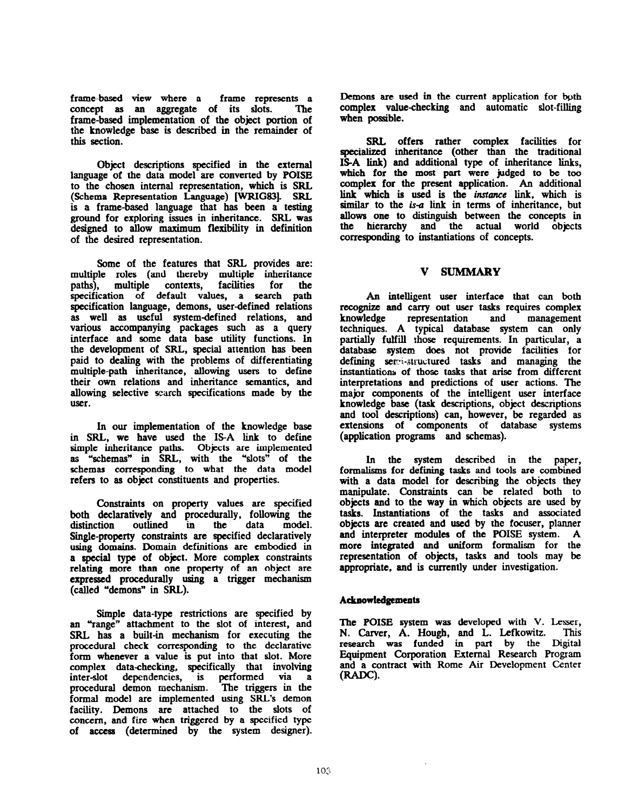frame-based view where a frame represents a<br>concept as an aggregate of its slots. The concept as an aggregate of its slots. frame-based implementation of the object portion of the knowledge base is described in the remainder of this section.

Object descriptions specified in the external language of the data model are converted by POISE to the chosen internal representation, which is SRL (Schema Representation Language) [WRIGS3]. SRL is a frame-based language that has been a testing ground for exploring issues in inheritance. SRL was designed to allow maximum flexibility in definition of the desired representation.

Some of the features that SRL provides are: multiple roles (and thereby multiple inheritance paths), multiple contexts, facilities for the paths), multiple contexts, facilities for the specification of default values, a search path specification language, demons, user-defined relations as well as useful system-defined relations, and various accompanying packages such as a query interface and some data base utility functions. In the development of SRL, special attention has been paid to dealing with the problems of differentiating multiple-path inheritance, allowing users to define their own relations and inheritance semantics, and allowing selective scarch specifications made by the user.

In our implementation of the knowledge base in SRL, we have used the IS-A link to define simple inheritance paths. Objects are implemented as "schemas" in SRL, with the "slots" of the schemas corresponding to what the data model refers to as object constituents and properties.

Constraints on property values are specified both declaratively and procedurally, following the distinction outlined in the data model. distinction Single-property constraints are specified declaratively using domains. Domain definitions are embodied in a special type of object. More complex constraints relating more than one property of an object are expressed procedurally using a trigger mechanism (called "demons" in SRL).

Simple data-type restrictions are specified by an "range" attachment to the slot of interest, and SRL has a built-in mechanism for executing the procedural check corresponding to the declarative form whenever a value is put into that slot. More complex data-checking, specifically that involving<br>inter-slot dependencies, is performed via a inter-slot dependencies, is performed via a procedural demon mechanism. The triggers in the formal model are implemented using SRL's demon facility. Demons are attached to the slots of concern, and fire when triggered by a specified type of access (determined by the system designer).

Demons are used in the current application for both complex value-checking and automatic slot-filling when possible.

SRL offers rather complex facilities for specialized inheritance (other than the traditional ISA link) and additional type of inheritance links, which for the most part were judged to be too complex for the present application. An additional link which is used is the instance link, which is  $s$ imilar to the *is-a* link in terms of inheritance, but allows one to distinguish between the concepts in the hierarchy and the actual world objects corresponding to instantiations of concepts.

# v SUMMARY

An intelligent user interface that can both recognize and carry out user tasks requires complex<br>
knowledge representation and management knowledge representation and management techniques. A typical database system can only partially fulfill those requirements. In particular, a database system does not provide facilities for defining servi-structured tasks and managing the instantiations of those tasks that arise from different interpretations and predictions of user actions. The major components of the intelligent user interface knowledge base (task descriptions, object descriptions and tool descriptions) can, however, be regarded as extensions of components of database systems (application programs and schemas).

In the system described in the paper, formalisms for defining tasks and tools are combined with a data model for describing the objects they manipulate. Constraints can be related both to objects and to the way in which objects are used by tasks. Instantiations of the tasks and associated objects are created and used by the focuser, planner and interpreter modules of the POISE system. A more integrated and uniform formalism for the representation of objects, tasks and tools may be appropriate, and is currently under investigation.

### Acknowledgements

The POISE system was developed with V. Lesser,<br>N. Carver. A. Hough. and L. Lefkowitz. This N. Carver, A. Hough, and L. Lefkowitz. research was funded in part by the Digital Equipment Corporation External Research Program and a contract with Rome Air Development Center (RADC).